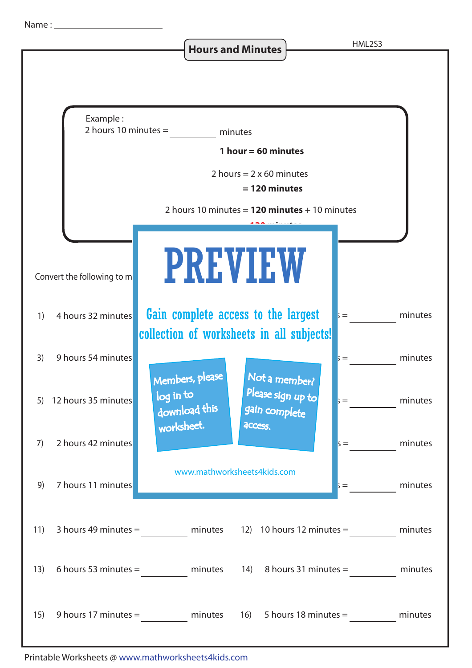**Hours and Minutes HML2S3**